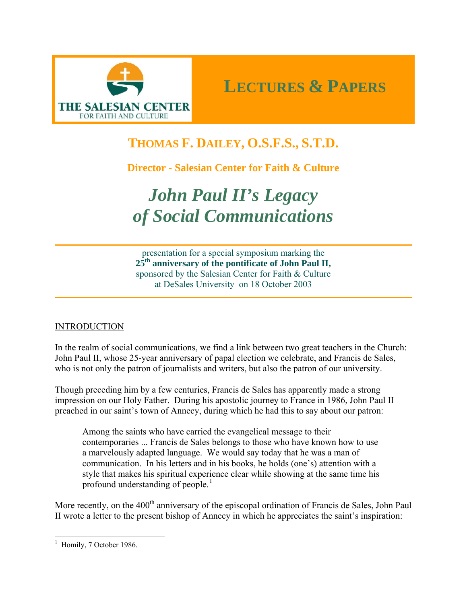

# **THOMAS F. DAILEY, O.S.F.S., S.T.D.**

**Director - Salesian Center for Faith & Culture**

# *John Paul II's Legacy of Social Communications*

presentation for a special symposium marking the **25th anniversary of the pontificate of John Paul II,**  sponsored by the Salesian Center for Faith & Culture at DeSales University on 18 October 2003

# **INTRODUCTION**

In the realm of social communications, we find a link between two great teachers in the Church: John Paul II, whose 25-year anniversary of papal election we celebrate, and Francis de Sales, who is not only the patron of journalists and writers, but also the patron of our university.

Though preceding him by a few centuries, Francis de Sales has apparently made a strong impression on our Holy Father. During his apostolic journey to France in 1986, John Paul II preached in our saint's town of Annecy, during which he had this to say about our patron:

Among the saints who have carried the evangelical message to their contemporaries ... Francis de Sales belongs to those who have known how to use a marvelously adapted language. We would say today that he was a man of communication. In his letters and in his books, he holds (one's) attention with a style that makes his spiritual experience clear while showing at the same time his profound understanding of people.<sup>[1](#page-0-0)</sup>

More recently, on the 400<sup>th</sup> anniversary of the episcopal ordination of Francis de Sales, John Paul II wrote a letter to the present bishop of Annecy in which he appreciates the saint's inspiration:

<span id="page-0-0"></span> $<sup>1</sup>$  Homily, 7 October 1986.</sup>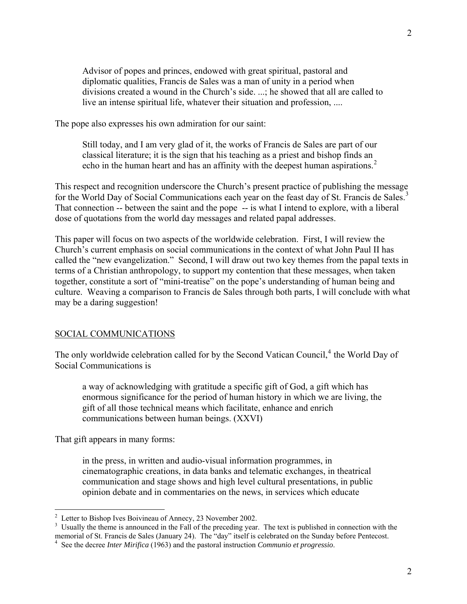Advisor of popes and princes, endowed with great spiritual, pastoral and diplomatic qualities, Francis de Sales was a man of unity in a period when divisions created a wound in the Church's side. ...; he showed that all are called to live an intense spiritual life, whatever their situation and profession, ....

The pope also expresses his own admiration for our saint:

Still today, and I am very glad of it, the works of Francis de Sales are part of our classical literature; it is the sign that his teaching as a priest and bishop finds an echo in the human heart and has an affinity with the deepest human aspirations.<sup>[2](#page-1-0)</sup>

This respect and recognition underscore the Church's present practice of publishing the message for the World Day of Social Communications each year on the feast day of St. Francis de Sales.<sup>[3](#page-1-1)</sup> That connection -- between the saint and the pope -- is what I intend to explore, with a liberal dose of quotations from the world day messages and related papal addresses.

This paper will focus on two aspects of the worldwide celebration. First, I will review the Church's current emphasis on social communications in the context of what John Paul II has called the "new evangelization." Second, I will draw out two key themes from the papal texts in terms of a Christian anthropology, to support my contention that these messages, when taken together, constitute a sort of "mini-treatise" on the pope's understanding of human being and culture. Weaving a comparison to Francis de Sales through both parts, I will conclude with what may be a daring suggestion!

#### SOCIAL COMMUNICATIONS

The only worldwide celebration called for by the Second Vatican Council,<sup>[4](#page-1-2)</sup> the World Day of Social Communications is

a way of acknowledging with gratitude a specific gift of God, a gift which has enormous significance for the period of human history in which we are living, the gift of all those technical means which facilitate, enhance and enrich communications between human beings. (XXVI)

That gift appears in many forms:

in the press, in written and audio-visual information programmes, in cinematographic creations, in data banks and telematic exchanges, in theatrical communication and stage shows and high level cultural presentations, in public opinion debate and in commentaries on the news, in services which educate

<sup>&</sup>lt;sup>2</sup> Letter to Bishop Ives Boivineau of Annecy, 23 November 2002.<br><sup>3</sup> Haughly the theme is announced in the Fell of the preceding year.

<span id="page-1-1"></span><span id="page-1-0"></span><sup>&</sup>lt;sup>3</sup> Usually the theme is announced in the Fall of the preceding year. The text is published in connection with the memorial of St. Francis de Sales (January 24). The "day" itself is celebrated on the Sunday before Pentecost. 4

<span id="page-1-2"></span>See the decree *Inter Mirifica* (1963) and the pastoral instruction *Communio et progressio*.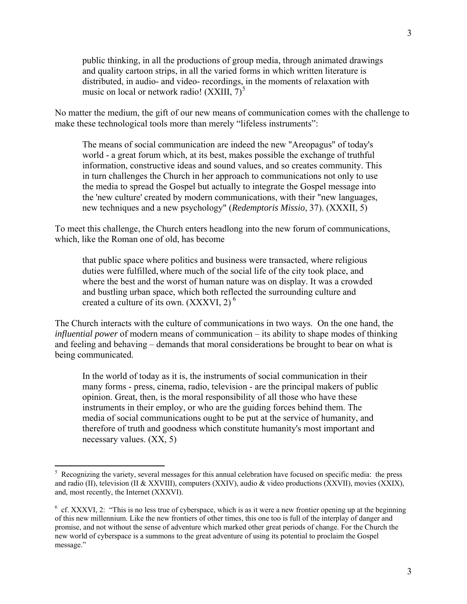public thinking, in all the productions of group media, through animated drawings and quality cartoon strips, in all the varied forms in which written literature is distributed, in audio- and video- recordings, in the moments of relaxation with music on local or network radio! (XXIII,  $7)^5$  $7)^5$ 

No matter the medium, the gift of our new means of communication comes with the challenge to make these technological tools more than merely "lifeless instruments":

The means of social communication are indeed the new "Areopagus" of today's world - a great forum which, at its best, makes possible the exchange of truthful information, constructive ideas and sound values, and so creates community. This in turn challenges the Church in her approach to communications not only to use the media to spread the Gospel but actually to integrate the Gospel message into the 'new culture' created by modern communications, with their "new languages, new techniques and a new psychology" (*Redemptoris Missio*, 37). (XXXII, 5)

To meet this challenge, the Church enters headlong into the new forum of communications, which, like the Roman one of old, has become

that public space where politics and business were transacted, where religious duties were fulfilled, where much of the social life of the city took place, and where the best and the worst of human nature was on display. It was a crowded and bustling urban space, which both reflected the surrounding culture and created a culture of its own.  $(XXXVI, 2)$ <sup>[6](#page-2-1)</sup>

The Church interacts with the culture of communications in two ways. On the one hand, the *influential power* of modern means of communication – its ability to shape modes of thinking and feeling and behaving – demands that moral considerations be brought to bear on what is being communicated.

In the world of today as it is, the instruments of social communication in their many forms - press, cinema, radio, television - are the principal makers of public opinion. Great, then, is the moral responsibility of all those who have these instruments in their employ, or who are the guiding forces behind them. The media of social communications ought to be put at the service of humanity, and therefore of truth and goodness which constitute humanity's most important and necessary values. (XX, 5)

<span id="page-2-0"></span><sup>&</sup>lt;sup>5</sup> Recognizing the variety, several messages for this annual celebration have focused on specific media: the press and radio (II), television (II & XXVIII), computers (XXIV), audio & video productions (XXVII), movies (XXIX), and, most recently, the Internet (XXXVI).

<span id="page-2-1"></span> $6$  cf. XXXVI, 2: "This is no less true of cyberspace, which is as it were a new frontier opening up at the beginning of this new millennium. Like the new frontiers of other times, this one too is full of the interplay of danger and promise, and not without the sense of adventure which marked other great periods of change. For the Church the new world of cyberspace is a summons to the great adventure of using its potential to proclaim the Gospel message."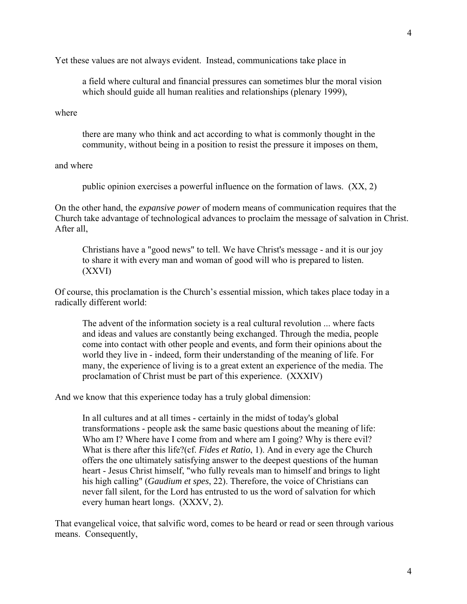Yet these values are not always evident. Instead, communications take place in

a field where cultural and financial pressures can sometimes blur the moral vision which should guide all human realities and relationships (plenary 1999),

where

there are many who think and act according to what is commonly thought in the community, without being in a position to resist the pressure it imposes on them,

#### and where

public opinion exercises a powerful influence on the formation of laws. (XX, 2)

On the other hand, the *expansive power* of modern means of communication requires that the Church take advantage of technological advances to proclaim the message of salvation in Christ. After all,

Christians have a "good news" to tell. We have Christ's message - and it is our joy to share it with every man and woman of good will who is prepared to listen. (XXVI)

Of course, this proclamation is the Church's essential mission, which takes place today in a radically different world:

The advent of the information society is a real cultural revolution ... where facts and ideas and values are constantly being exchanged. Through the media, people come into contact with other people and events, and form their opinions about the world they live in - indeed, form their understanding of the meaning of life. For many, the experience of living is to a great extent an experience of the media. The proclamation of Christ must be part of this experience. (XXXIV)

And we know that this experience today has a truly global dimension:

In all cultures and at all times - certainly in the midst of today's global transformations - people ask the same basic questions about the meaning of life: Who am I? Where have I come from and where am I going? Why is there evil? What is there after this life?(cf. *Fides et Ratio*, 1). And in every age the Church offers the one ultimately satisfying answer to the deepest questions of the human heart - Jesus Christ himself, "who fully reveals man to himself and brings to light his high calling" (*Gaudium et spes*, 22). Therefore, the voice of Christians can never fall silent, for the Lord has entrusted to us the word of salvation for which every human heart longs. (XXXV, 2).

That evangelical voice, that salvific word, comes to be heard or read or seen through various means. Consequently,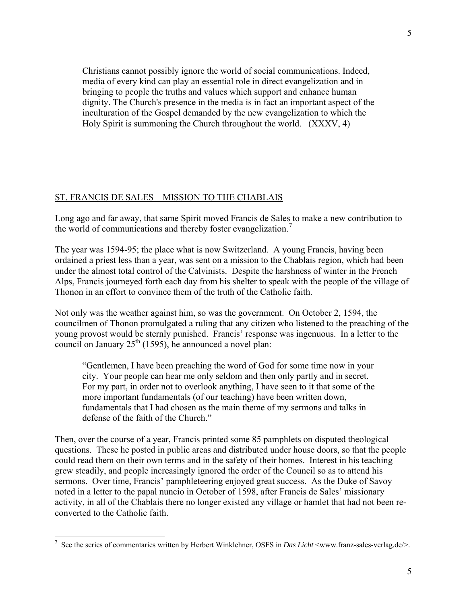Christians cannot possibly ignore the world of social communications. Indeed, media of every kind can play an essential role in direct evangelization and in bringing to people the truths and values which support and enhance human dignity. The Church's presence in the media is in fact an important aspect of the inculturation of the Gospel demanded by the new evangelization to which the Holy Spirit is summoning the Church throughout the world. (XXXV, 4)

### ST. FRANCIS DE SALES – MISSION TO THE CHABLAIS

Long ago and far away, that same Spirit moved Francis de Sales to make a new contribution to the world of communications and thereby foster evangelization.<sup>[7](#page-4-0)</sup>

The year was 1594-95; the place what is now Switzerland. A young Francis, having been ordained a priest less than a year, was sent on a mission to the Chablais region, which had been under the almost total control of the Calvinists. Despite the harshness of winter in the French Alps, Francis journeyed forth each day from his shelter to speak with the people of the village of Thonon in an effort to convince them of the truth of the Catholic faith.

Not only was the weather against him, so was the government. On October 2, 1594, the councilmen of Thonon promulgated a ruling that any citizen who listened to the preaching of the young provost would be sternly punished. Francis' response was ingenuous. In a letter to the council on January  $25<sup>th</sup>$  (1595), he announced a novel plan:

"Gentlemen, I have been preaching the word of God for some time now in your city. Your people can hear me only seldom and then only partly and in secret. For my part, in order not to overlook anything, I have seen to it that some of the more important fundamentals (of our teaching) have been written down, fundamentals that I had chosen as the main theme of my sermons and talks in defense of the faith of the Church."

Then, over the course of a year, Francis printed some 85 pamphlets on disputed theological questions. These he posted in public areas and distributed under house doors, so that the people could read them on their own terms and in the safety of their homes. Interest in his teaching grew steadily, and people increasingly ignored the order of the Council so as to attend his sermons. Over time, Francis' pamphleteering enjoyed great success. As the Duke of Savoy noted in a letter to the papal nuncio in October of 1598, after Francis de Sales' missionary activity, in all of the Chablais there no longer existed any village or hamlet that had not been reconverted to the Catholic faith.

<span id="page-4-0"></span><sup>&</sup>lt;sup>7</sup> See the series of commentaries written by Herbert Winklehner, OSFS in *Das Licht*  $\leq$ www.franz-sales-verlag.de/ $>$ .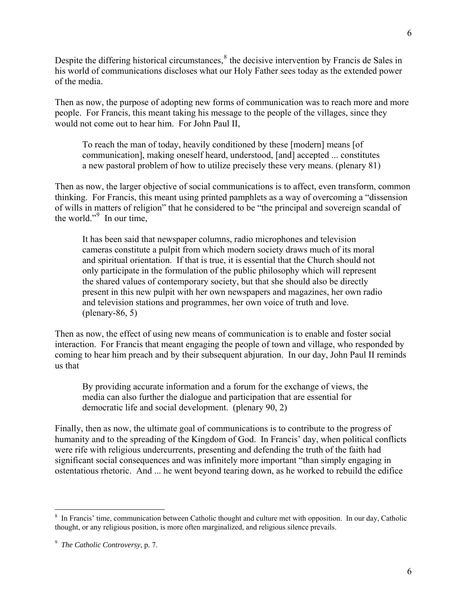Despite the differing historical circumstances, $<sup>8</sup>$  $<sup>8</sup>$  $<sup>8</sup>$  the decisive intervention by Francis de Sales in</sup> his world of communications discloses what our Holy Father sees today as the extended power of the media.

Then as now, the purpose of adopting new forms of communication was to reach more and more people. For Francis, this meant taking his message to the people of the villages, since they would not come out to hear him. For John Paul II,

To reach the man of today, heavily conditioned by these [modern] means [of communication], making oneself heard, understood, [and] accepted ... constitutes a new pastoral problem of how to utilize precisely these very means. (plenary 81)

Then as now, the larger objective of social communications is to affect, even transform, common thinking. For Francis, this meant using printed pamphlets as a way of overcoming a "dissension of wills in matters of religion" that he considered to be "the principal and sovereign scandal of the world." $9 \text{ In our time}$  $9 \text{ In our time}$ ,

It has been said that newspaper columns, radio microphones and television cameras constitute a pulpit from which modern society draws much of its moral and spiritual orientation. If that is true, it is essential that the Church should not only participate in the formulation of the public philosophy which will represent the shared values of contemporary society, but that she should also be directly present in this new pulpit with her own newspapers and magazines, her own radio and television stations and programmes, her own voice of truth and love. (plenary-86, 5)

Then as now, the effect of using new means of communication is to enable and foster social interaction. For Francis that meant engaging the people of town and village, who responded by coming to hear him preach and by their subsequent abjuration. In our day, John Paul II reminds us that

By providing accurate information and a forum for the exchange of views, the media can also further the dialogue and participation that are essential for democratic life and social development. (plenary 90, 2)

Finally, then as now, the ultimate goal of communications is to contribute to the progress of humanity and to the spreading of the Kingdom of God. In Francis' day, when political conflicts were rife with religious undercurrents, presenting and defending the truth of the faith had significant social consequences and was infinitely more important "than simply engaging in ostentatious rhetoric. And ... he went beyond tearing down, as he worked to rebuild the edifice

<span id="page-5-0"></span><sup>&</sup>lt;sup>8</sup> In Francis' time, communication between Catholic thought and culture met with opposition. In our day, Catholic thought, or any religious position, is more often marginalized, and religious silence prevails.

<span id="page-5-1"></span><sup>9</sup> *The Catholic Controversy*, p. 7.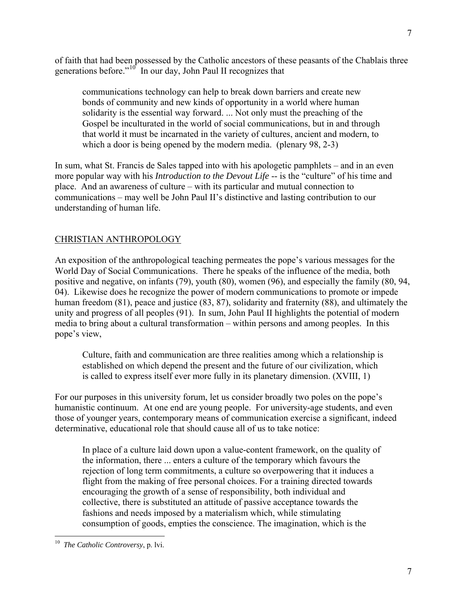of faith that had been possessed by the Catholic ancestors of these peasants of the Chablais three generations before." $10^7$  $10^7$  In our day, John Paul II recognizes that

communications technology can help to break down barriers and create new bonds of community and new kinds of opportunity in a world where human solidarity is the essential way forward. ... Not only must the preaching of the Gospel be inculturated in the world of social communications, but in and through that world it must be incarnated in the variety of cultures, ancient and modern, to which a door is being opened by the modern media. (plenary 98, 2-3)

In sum, what St. Francis de Sales tapped into with his apologetic pamphlets – and in an even more popular way with his *Introduction to the Devout Life* -- is the "culture" of his time and place. And an awareness of culture – with its particular and mutual connection to communications – may well be John Paul II's distinctive and lasting contribution to our understanding of human life.

# CHRISTIAN ANTHROPOLOGY

An exposition of the anthropological teaching permeates the pope's various messages for the World Day of Social Communications. There he speaks of the influence of the media, both positive and negative, on infants (79), youth (80), women (96), and especially the family (80, 94, 04). Likewise does he recognize the power of modern communications to promote or impede human freedom (81), peace and justice (83, 87), solidarity and fraternity (88), and ultimately the unity and progress of all peoples (91). In sum, John Paul II highlights the potential of modern media to bring about a cultural transformation – within persons and among peoples. In this pope's view,

Culture, faith and communication are three realities among which a relationship is established on which depend the present and the future of our civilization, which is called to express itself ever more fully in its planetary dimension. (XVIII, 1)

For our purposes in this university forum, let us consider broadly two poles on the pope's humanistic continuum. At one end are young people. For university-age students, and even those of younger years, contemporary means of communication exercise a significant, indeed determinative, educational role that should cause all of us to take notice:

In place of a culture laid down upon a value-content framework, on the quality of the information, there ... enters a culture of the temporary which favours the rejection of long term commitments, a culture so overpowering that it induces a flight from the making of free personal choices. For a training directed towards encouraging the growth of a sense of responsibility, both individual and collective, there is substituted an attitude of passive acceptance towards the fashions and needs imposed by a materialism which, while stimulating consumption of goods, empties the conscience. The imagination, which is the

<span id="page-6-0"></span><sup>10</sup> *The Catholic Controversy*, p. lvi.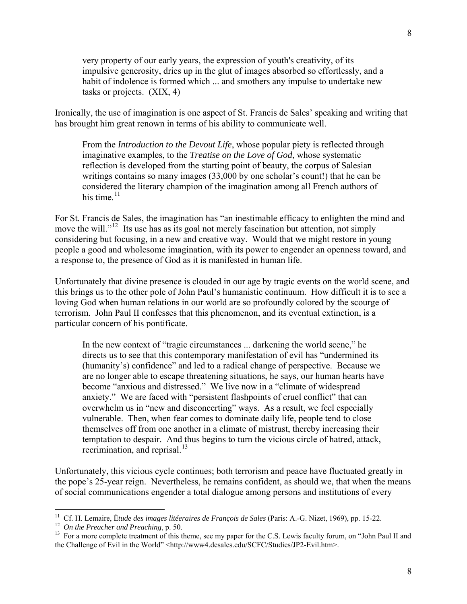very property of our early years, the expression of youth's creativity, of its impulsive generosity, dries up in the glut of images absorbed so effortlessly, and a habit of indolence is formed which ... and smothers any impulse to undertake new tasks or projects. (XIX, 4)

Ironically, the use of imagination is one aspect of St. Francis de Sales' speaking and writing that has brought him great renown in terms of his ability to communicate well.

From the *Introduction to the Devout Life*, whose popular piety is reflected through imaginative examples, to the *Treatise on the Love of God*, whose systematic reflection is developed from the starting point of beauty, the corpus of Salesian writings contains so many images (33,000 by one scholar's count!) that he can be considered the literary champion of the imagination among all French authors of his time. $11$ 

For St. Francis de Sales, the imagination has "an inestimable efficacy to enlighten the mind and move the will."<sup>[12](#page-7-1)</sup> Its use has as its goal not merely fascination but attention, not simply considering but focusing, in a new and creative way. Would that we might restore in young people a good and wholesome imagination, with its power to engender an openness toward, and a response to, the presence of God as it is manifested in human life.

Unfortunately that divine presence is clouded in our age by tragic events on the world scene, and this brings us to the other pole of John Paul's humanistic continuum. How difficult it is to see a loving God when human relations in our world are so profoundly colored by the scourge of terrorism. John Paul II confesses that this phenomenon, and its eventual extinction, is a particular concern of his pontificate.

In the new context of "tragic circumstances ... darkening the world scene," he directs us to see that this contemporary manifestation of evil has "undermined its (humanity's) confidence" and led to a radical change of perspective. Because we are no longer able to escape threatening situations, he says, our human hearts have become "anxious and distressed." We live now in a "climate of widespread anxiety." We are faced with "persistent flashpoints of cruel conflict" that can overwhelm us in "new and disconcerting" ways. As a result, we feel especially vulnerable. Then, when fear comes to dominate daily life, people tend to close themselves off from one another in a climate of mistrust, thereby increasing their temptation to despair. And thus begins to turn the vicious circle of hatred, attack, recrimination, and reprisal. $^{13}$  $^{13}$  $^{13}$ 

Unfortunately, this vicious cycle continues; both terrorism and peace have fluctuated greatly in the pope's 25-year reign. Nevertheless, he remains confident, as should we, that when the means of social communications engender a total dialogue among persons and institutions of every

<span id="page-7-2"></span>

<span id="page-7-1"></span><span id="page-7-0"></span><sup>&</sup>lt;sup>11</sup> Cf. H. Lemaire, Étude des images litéeraires de François de Sales (Paris: A.-G. Nizet, 1969), pp. 15-22.<br><sup>12</sup> On the Preacher and Preaching, p. 50.<br><sup>13</sup> For a more complete treatment of this theme, see my paper for t the Challenge of Evil in the World" <http://www4.desales.edu/SCFC/Studies/JP2-Evil.htm>.